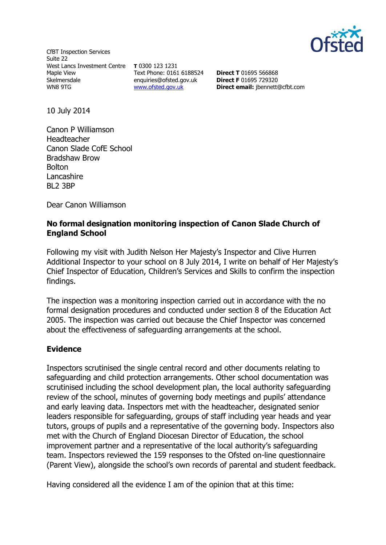

CfBT Inspection Services Suite 22 West Lancs Investment Centre **T** 0300 123 1231 Maple View Skelmersdale WN8 9TG

Text Phone: 0161 6188524 enquiries@ofsted.gov.uk [www.ofsted.gov.uk](http://www.ofsted.gov.uk/)

**Direct T** 01695 566868 **Direct F** 01695 729320 **Direct email:** jbennett@cfbt.com

10 July 2014

Canon P Williamson Headteacher Canon Slade CofE School Bradshaw Brow Bolton Lancashire BL2 3BP

Dear Canon Williamson

## **No formal designation monitoring inspection of Canon Slade Church of England School**

Following my visit with Judith Nelson Her Majesty's Inspector and Clive Hurren Additional Inspector to your school on 8 July 2014, I write on behalf of Her Majesty's Chief Inspector of Education, Children's Services and Skills to confirm the inspection findings.

The inspection was a monitoring inspection carried out in accordance with the no formal designation procedures and conducted under section 8 of the Education Act 2005. The inspection was carried out because the Chief Inspector was concerned about the effectiveness of safeguarding arrangements at the school.

## **Evidence**

Inspectors scrutinised the single central record and other documents relating to safeguarding and child protection arrangements. Other school documentation was scrutinised including the school development plan, the local authority safeguarding review of the school, minutes of governing body meetings and pupils' attendance and early leaving data. Inspectors met with the headteacher, designated senior leaders responsible for safeguarding, groups of staff including year heads and year tutors, groups of pupils and a representative of the governing body. Inspectors also met with the Church of England Diocesan Director of Education, the school improvement partner and a representative of the local authority's safeguarding team. Inspectors reviewed the 159 responses to the Ofsted on-line questionnaire (Parent View), alongside the school's own records of parental and student feedback.

Having considered all the evidence I am of the opinion that at this time: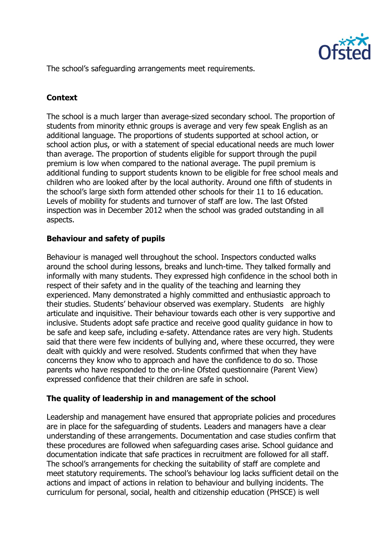

The school's safeguarding arrangements meet requirements.

# **Context**

The school is a much larger than average-sized secondary school. The proportion of students from minority ethnic groups is average and very few speak English as an additional language. The proportions of students supported at school action, or school action plus, or with a statement of special educational needs are much lower than average. The proportion of students eligible for support through the pupil premium is low when compared to the national average. The pupil premium is additional funding to support students known to be eligible for free school meals and children who are looked after by the local authority. Around one fifth of students in the school's large sixth form attended other schools for their 11 to 16 education. Levels of mobility for students and turnover of staff are low. The last Ofsted inspection was in December 2012 when the school was graded outstanding in all aspects.

## **Behaviour and safety of pupils**

Behaviour is managed well throughout the school. Inspectors conducted walks around the school during lessons, breaks and lunch-time. They talked formally and informally with many students. They expressed high confidence in the school both in respect of their safety and in the quality of the teaching and learning they experienced. Many demonstrated a highly committed and enthusiastic approach to their studies. Students' behaviour observed was exemplary. Students are highly articulate and inquisitive. Their behaviour towards each other is very supportive and inclusive. Students adopt safe practice and receive good quality guidance in how to be safe and keep safe, including e-safety. Attendance rates are very high. Students said that there were few incidents of bullying and, where these occurred, they were dealt with quickly and were resolved. Students confirmed that when they have concerns they know who to approach and have the confidence to do so. Those parents who have responded to the on-line Ofsted questionnaire (Parent View) expressed confidence that their children are safe in school.

## **The quality of leadership in and management of the school**

Leadership and management have ensured that appropriate policies and procedures are in place for the safeguarding of students. Leaders and managers have a clear understanding of these arrangements. Documentation and case studies confirm that these procedures are followed when safeguarding cases arise. School guidance and documentation indicate that safe practices in recruitment are followed for all staff. The school's arrangements for checking the suitability of staff are complete and meet statutory requirements. The school's behaviour log lacks sufficient detail on the actions and impact of actions in relation to behaviour and bullying incidents. The curriculum for personal, social, health and citizenship education (PHSCE) is well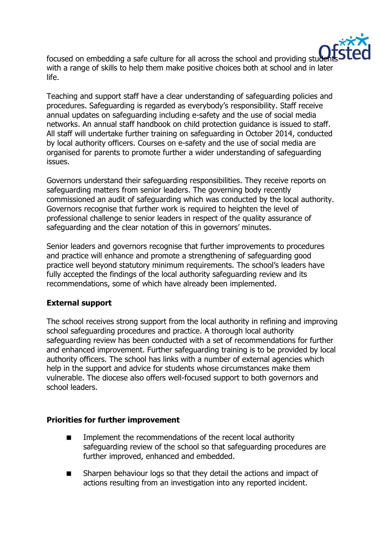

focused on embedding a safe culture for all across the school and providing student with a range of skills to help them make positive choices both at school and in later life.

Teaching and support staff have a clear understanding of safeguarding policies and procedures. Safeguarding is regarded as everybody's responsibility. Staff receive annual updates on safeguarding including e-safety and the use of social media networks. An annual staff handbook on child protection guidance is issued to staff. All staff will undertake further training on safeguarding in October 2014, conducted by local authority officers. Courses on e-safety and the use of social media are organised for parents to promote further a wider understanding of safeguarding issues.

Governors understand their safeguarding responsibilities. They receive reports on safeguarding matters from senior leaders. The governing body recently commissioned an audit of safeguarding which was conducted by the local authority. Governors recognise that further work is required to heighten the level of professional challenge to senior leaders in respect of the quality assurance of safeguarding and the clear notation of this in governors' minutes.

Senior leaders and governors recognise that further improvements to procedures and practice will enhance and promote a strengthening of safeguarding good practice well beyond statutory minimum requirements. The school's leaders have fully accepted the findings of the local authority safeguarding review and its recommendations, some of which have already been implemented.

## **External support**

The school receives strong support from the local authority in refining and improving school safeguarding procedures and practice. A thorough local authority safeguarding review has been conducted with a set of recommendations for further and enhanced improvement. Further safeguarding training is to be provided by local authority officers. The school has links with a number of external agencies which help in the support and advice for students whose circumstances make them vulnerable. The diocese also offers well-focused support to both governors and school leaders.

## **Priorities for further improvement**

- Implement the recommendations of the recent local authority safeguarding review of the school so that safeguarding procedures are further improved, enhanced and embedded.
- Sharpen behaviour logs so that they detail the actions and impact of actions resulting from an investigation into any reported incident.